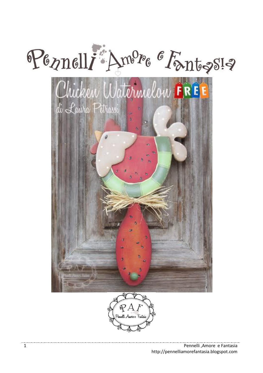# Pennelli Amere Hantegs!?



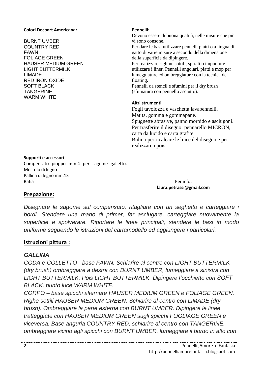#### **Colori Decoart Americana: Pennelli:**

BURNT UMBER COUNTRY RED FAWN FOLIAGE GREEN HAUSER MEDIUM GREEN LIGHT BUTTERMILK LIMADE RED IRON OXIDE SOFT BLACK TANGERINE WARM WHITE

Devono essere di buona qualità, nelle misure che più vi sono consone. Per dare le basi utilizzare pennelli piatti o a lingua di gatto di varie misure a secondo della dimensione

della superficie da dipingere.

Per realizzare righine sottili, spirali o impunture utilizzare i liner. Pennelli angolari, piatti e mop per lumeggiature ed ombreggiature con la tecnica del floating.

Pennelli da stencil e sfumini per il dry brush (sfumatura con pennello asciutto).

## **Altri strumenti**

Fogli tavolozza e vaschetta lavapennelli. Matita, gomma e gommapane. Spugnette abrasive, panno morbido e asciugoni. Per trasferire il disegno: pennarello MICRON, carta da lucido e carta grafite. Bulino per ricalcare le linee del disegno e per realizzare i pois.

# **Supporti e accessori** Compensato pioppo mm.4 per sagome galletto. Mestolo di legno Pallina di legno mm.15 Rafia **Per info:**

**[laura.petrassi@gmail.com](mailto:info@xxx.uu)**

# **Prepazione:**

*Disegnare le sagome sul compensato, ritagliare con un seghetto e carteggiare i bordi. Stendere una mano di primer, far asciugare, carteggiare nuovamente la superficie e spolverare. Riportare le linee principali, stendere le basi in modo uniforme seguendo le istruzioni del cartamodello ed aggiungere i particolari.*

# **Istruzioni pittura :**

# *GALLINA*

*CODA e COLLETTO - base FAWN. Schiarire al centro con LIGHT BUTTERMILK (dry brush) ombreggiare a destra con BURNT UMBER, lumeggiare a sinistra con LIGHT BUTTERMILK. Pois LIGHT BUTTERMILK. Dipingere l'occhietto con SOFT BLACK, punto luce WARM WHITE.* 

*CORPO – base spicchi alternare HAUSER MEDIUM GREEN e FOLIAGE GREEN. Righe sottili HAUSER MEDIUM GREEN. Schiarire al centro con LIMADE (dry brush). Ombreggiare la parte esterna con BURNT UMBER. Dipingere le linee tratteggiate con HAUSER MEDIUM GREEN sugli spicchi FOGLIAGE GREEN e viceversa. Base anguria COUNTRY RED, schiarire al centro con TANGERINE, ombreggiare vicino agli spicchi con BURNT UMBER, lumeggiare il bordo in alto con*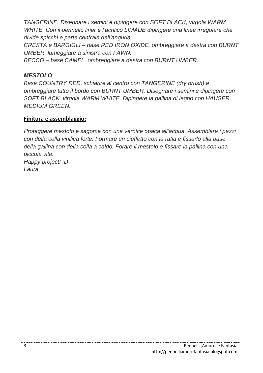*TANGERINE. Disegnare i semini e dipingere con SOFT BLACK, virgola WARM WHITE. Con il pennello liner e l'acrilico LIMADE dipingere una linea irregolare che divide spicchi e parte centrale dell'anguria.*

*CRESTA e BARGIGLI – base RED IRON OXIDE, ombreggiare a destra con BURNT UMBER, lumeggiare a sinistra con FAWN.*

*BECCO – base CAMEL, ombreggiare a destra con BURNT UMBER.*

# *MESTOLO*

*Base COUNTRY RED, schiarire al centro con TANGERINE (dry brush) e ombreggiare tutto il bordo con BURNT UMBER. Disegnare i semini e dipingere con SOFT BLACK, virgola WARM WHITE. Dipingere la pallina di legno con HAUSER MEDIUM GREEN.*

# **Finitura e assemblaggio:**

*Proteggere mestolo e sagome con una vernice opaca all'acqua. Assemblare i pezzi con della colla vinilica forte. Formare un ciuffetto con la rafia e fissarlo alla base della gallina con della colla a caldo. Forare il mestolo e fissare la pallina con una piccola vite. Happy project! :D Laura*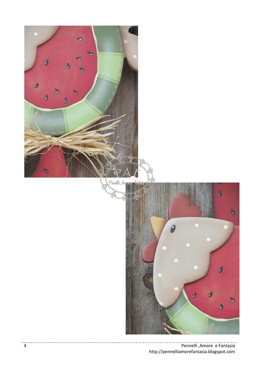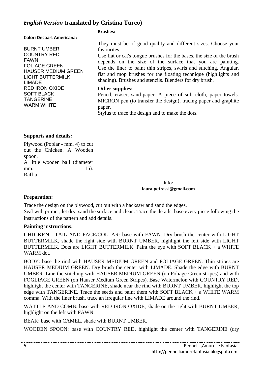# *English Version* **translated by Cristina Turco)**

#### **Colori Decoart Americana:**

BURNT UMBER COUNTRY RED FAWN FOLIAGE GREEN HAUSER MEDIUM GREEN LIGHT BUTTERMILK LIMADE RED IRON OXIDE SOFT BLACK TANGERINE WARM WHITE

#### **Brushes:**

They must be of good quality and different sizes. Choose your favourites.

Use flat or cat's tongue brushes for the bases, the size of the brush depends on the size of the surface that you are painting. Use the liner to paint thin stripes, swirls and stitching. Angular, flat and mop brushes for the floating technique (highlights and shading). Brushes and stencils. Blenders for dry brush.

#### **Other supplies:**

Pencil, eraser, sand-paper. A piece of soft cloth, paper towels. MICRON pen (to transfer the design), tracing paper and graphite paper.

Stylus to trace the design and to make the dots.

## **Supports and details:**

Plywood (Poplar - mm. 4) to cut out the Chicken. A Wooden spoon. A little wooden ball (diameter mm. 15). Raffia

> Info: **[laura.petrassi@gmail.com](mailto:info@xxx.uu)**

# **Preparation:**

Trace the design on the plywood, cut out with a hacksaw and sand the edges. Seal with primer, let dry, sand the surface and clean. Trace the details, base every piece following the instructions of the pattern and add details*.*

## **Painting instructions:**

**CHICKEN** - TAIL AND FACE/COLLAR: base with FAWN. Dry brush the center with LIGHT BUTTERMILK, shade the right side with BURNT UMBER, highlight the left side with LIGHT BUTTERMILK. Dots are LIGHT BUTTERMILK. Paint the eye with SOFT BLACK  $+$  a WHITE WARM dot.

BODY: base the rind with HAUSER MEDIUM GREEN and FOLIAGE GREEN. Thin stripes are HAUSER MEDIUM GREEN. Dry brush the center with LIMADE. Shade the edge with BURNT UMBER. Line the stitching with HAUSER MEDIUM GREEN (on Foliage Green stripes) and with FOGLIAGE GREEN (on Hauser Medium Green Stripes). Base Watermelon with COUNTRY RED, highlight the center with TANGERINE, shade near the rind with BURNT UMBER, highlight the top edge with TANGERINE. Trace the seeds and paint them with SOFT BLACK  $+$  a WHITE WARM comma. With the liner brush, trace an irregular line with LIMADE around the rind.

WATTLE AND COMB: base with RED IRON OXIDE, shade on the right with BURNT UMBER, highlight on the left with FAWN.

BEAK: base with CAMEL, shade with BURNT UMBER.

WOODEN SPOON: base with COUNTRY RED, highlight the center with TANGERINE (dry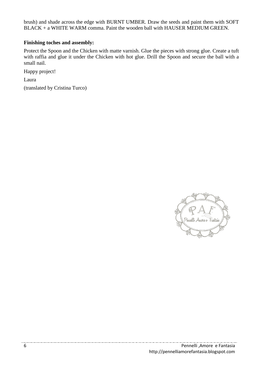brush) and shade across the edge with BURNT UMBER. Draw the seeds and paint them with SOFT BLACK + a WHITE WARM comma. Paint the wooden ball with HAUSER MEDIUM GREEN.

# **Finishing toches and assembly:**

Protect the Spoon and the Chicken with matte varnish. Glue the pieces with strong glue. Create a tuft with raffia and glue it under the Chicken with hot glue. Drill the Spoon and secure the ball with a small nail.

Happy project!

Laura

(translated by Cristina Turco)